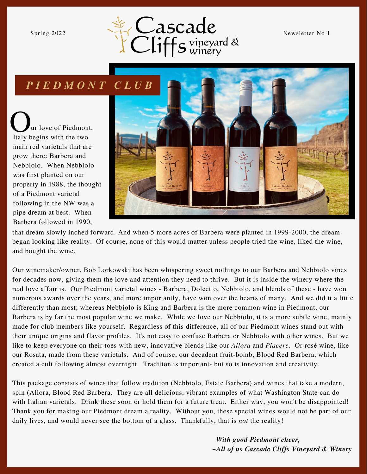

# *P I E D M O N T C L U B*

ur love of Piedmont, Qur love of Piedmon<br>Italy begins with the two main red varietals that are grow there: Barbera and Nebbiolo. When Nebbiolo was first planted on our property in 1988, the thought of a Piedmont varietal following in the NW was a pipe dream at best. When Barbera followed in 1990,



that dream slowly inched forward. And when 5 more acres of Barbera were planted in 1999-2000, the dream began looking like reality. Of course, none of this would matter unless people tried the wine, liked the wine, and bought the wine.

Our winemaker/owner, Bob Lorkowski has been whispering sweet nothings to our Barbera and Nebbiolo vines for decades now, giving them the love and attention they need to thrive. But it is inside the winery where the real love affair is. Our Piedmont varietal wines - Barbera, Dolcetto, Nebbiolo, and blends of these - have won numerous awards over the years, and more importantly, have won over the hearts of many. And we did it a little differently than most; whereas Nebbiolo is King and Barbera is the more common wine in Piedmont, our Barbera is by far the most popular wine we make. While we love our Nebbiolo, it is a more subtle wine, mainly made for club members like yourself. Regardless of this difference, all of our Piedmont wines stand out with their unique origins and flavor profiles. It's not easy to confuse Barbera or Nebbiolo with other wines. But we like to keep everyone on their toes with new, innovative blends like our *Allora* and *Piacere.* Or rosé wine, like our Rosata, made from these varietals. And of course, our decadent fruit-bomb, Blood Red Barbera, which created a cult following almost overnight. Tradition is important- but so is innovation and creativity.

This package consists of wines that follow tradition (Nebbiolo, Estate Barbera) and wines that take a modern, spin (Allora, Blood Red Barbera. They are all delicious, vibrant examples of what Washington State can do with Italian varietals. Drink these soon or hold them for a future treat. Either way, you won't be disappointed! Thank you for making our Piedmont dream a reality. Without you, these special wines would not be part of our daily lives, and would never see the bottom of a glass. Thankfully, that is *not* the reality!

> *With good Piedmont cheer, ~All of us Cascade Cliffs Vineyard & Winery*